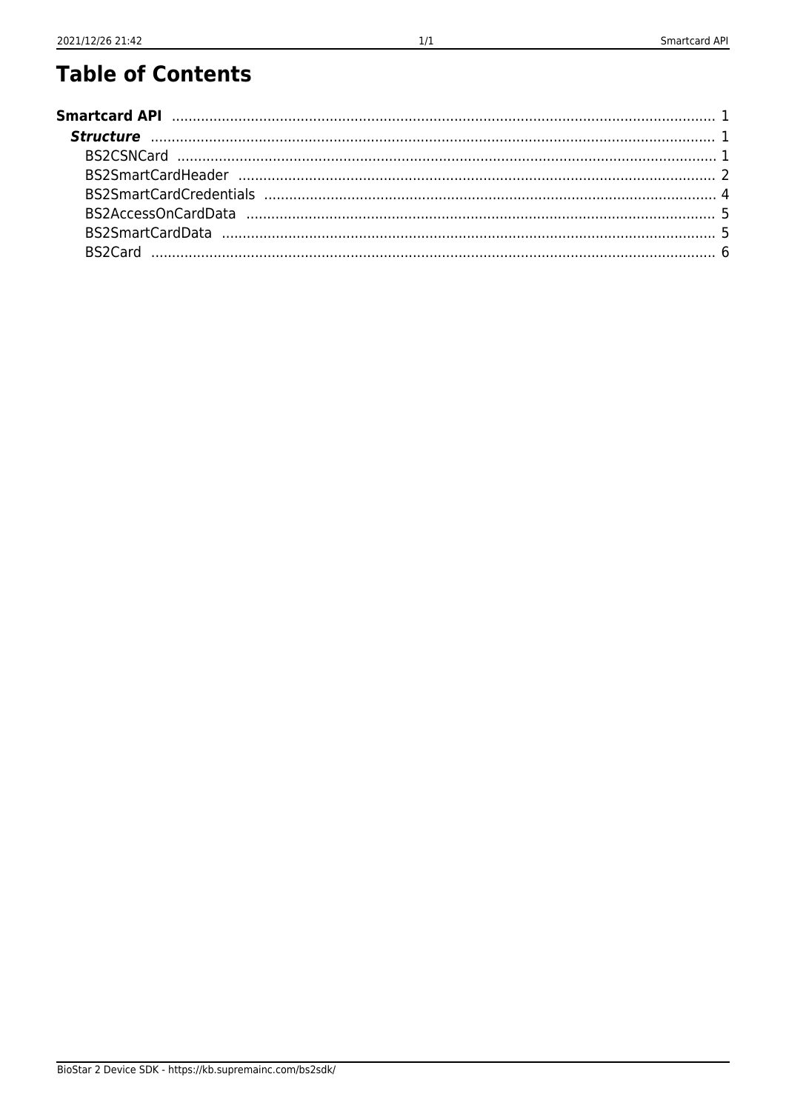# **Table of Contents**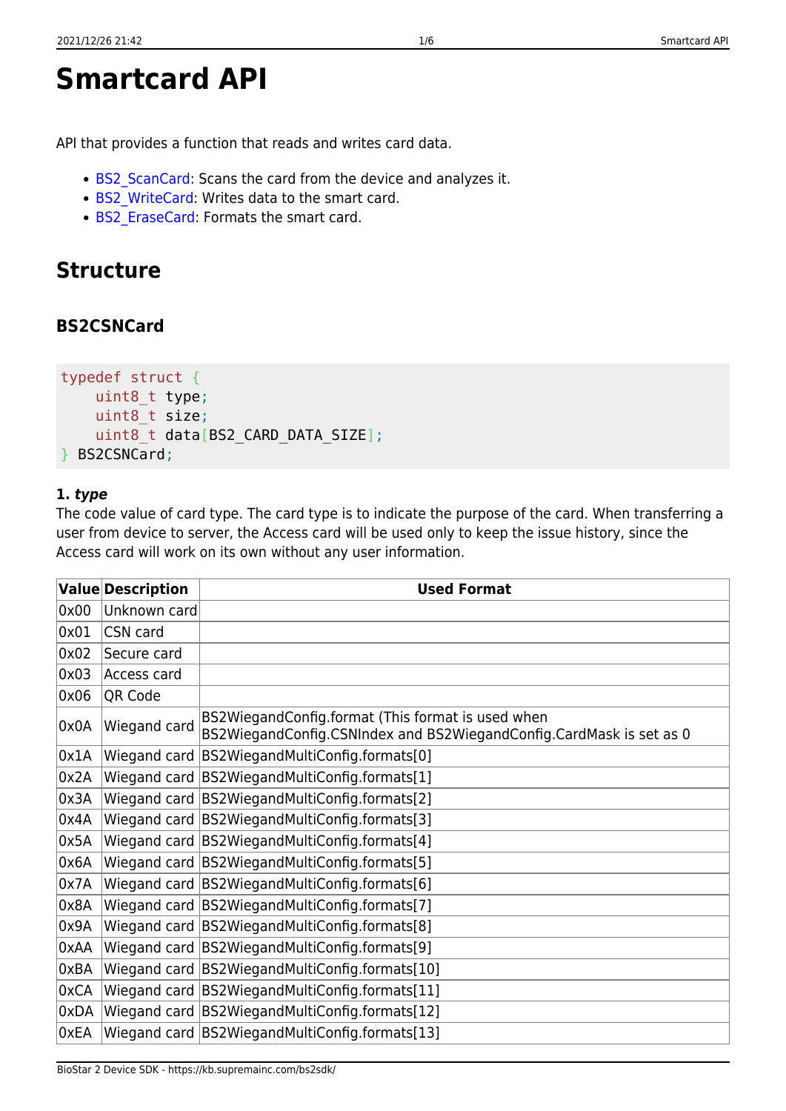```
Smartcard API
```
API that provides a function that reads and writes card data.

- BS2 ScanCard: Scans the card from the device and analyzes it.
- BS2 WriteCard: Writes data to the smart card.
- BS2 EraseCard: Formats the smart card.

# <span id="page-1-1"></span>**Structure**

## <span id="page-1-2"></span>**BS2CSNCard**

```
typedef struct {
     uint8_t type;
    uint8 t size;
    uint8 t data[BS2 CARD DATA SIZE];
} BS2CSNCard;
```
## **1.** *type*

The code value of card type. The card type is to indicate the purpose of the card. When transferring a user from device to server, the Access card will be used only to keep the issue history, since the Access card will work on its own without any user information.

|      | <b>Value Description</b> | <b>Used Format</b>                                                                                                       |
|------|--------------------------|--------------------------------------------------------------------------------------------------------------------------|
| 0x00 | Unknown card             |                                                                                                                          |
| 0x01 | CSN card                 |                                                                                                                          |
| 0x02 | Secure card              |                                                                                                                          |
| 0x03 | Access card              |                                                                                                                          |
| 0x06 | QR Code                  |                                                                                                                          |
| 0x0A | Wiegand card             | BS2WiegandConfig.format (This format is used when<br>BS2WiegandConfig.CSNIndex and BS2WiegandConfig.CardMask is set as 0 |
| 0x1A |                          | Wiegand card BS2WiegandMultiConfig.formats[0]                                                                            |
| 0x2A |                          | Wiegand card BS2WiegandMultiConfig.formats[1]                                                                            |
| 0x3A |                          | Wiegand card BS2WiegandMultiConfig.formats[2]                                                                            |
| 0x4A |                          | Wiegand card   BS2Wiegand MultiConfig.formats[3]                                                                         |
| 0x5A |                          | Wiegand card BS2WiegandMultiConfig.formats[4]                                                                            |
| 0x6A |                          | Wiegand card BS2WiegandMultiConfig.formats[5]                                                                            |
| 0x7A |                          | Wiegand card BS2WiegandMultiConfig.formats[6]                                                                            |
| 0x8A |                          | Wiegand card BS2WiegandMultiConfig.formats[7]                                                                            |
| 0x9A |                          | Wiegand card BS2WiegandMultiConfig.formats[8]                                                                            |
| 0xAA |                          | Wiegand card   BS2Wiegand MultiConfig.formats[9]                                                                         |
| 0xBA |                          | Wiegand card BS2WiegandMultiConfig.formats[10]                                                                           |
| 0xCA |                          | Wiegand card BS2WiegandMultiConfig.formats[11]                                                                           |
| 0xDA |                          | Wiegand card BS2WiegandMultiConfig.formats[12]                                                                           |
| 0xEA |                          | Wiegand card   BS2Wiegand MultiConfig.formats [13]                                                                       |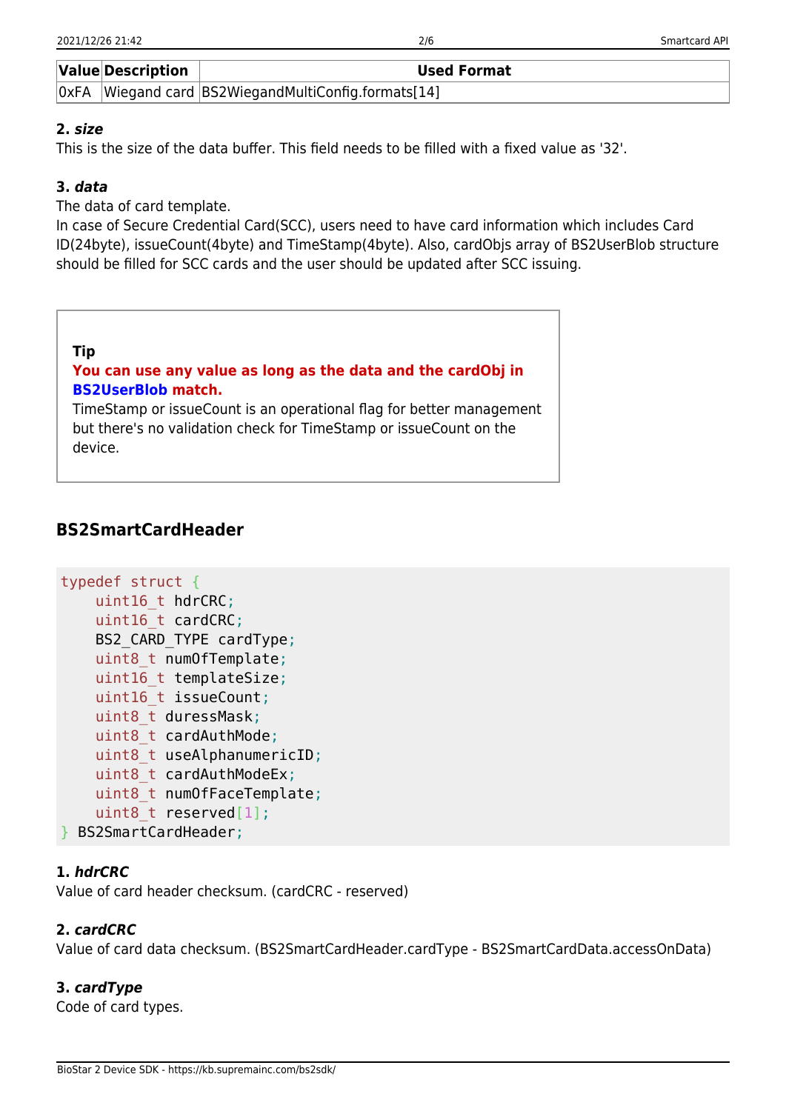|      | <b>Value Description</b> | <b>Used Format</b>                             |
|------|--------------------------|------------------------------------------------|
| OxFA |                          | Wiegand card BS2WiegandMultiConfig.formats[14] |

## **2.** *size*

This is the size of the data buffer. This field needs to be filled with a fixed value as '32'.

## **3.** *data*

The data of card template.

In case of Secure Credential Card(SCC), users need to have card information which includes Card ID(24byte), issueCount(4byte) and TimeStamp(4byte). Also, cardObjs array of BS2UserBlob structure should be filled for SCC cards and the user should be updated after SCC issuing.

| Tip<br>You can use any value as long as the data and the cardObj in<br><b>BS2UserBlob match.</b><br>TimeStamp or issueCount is an operational flag for better management<br>but there's no validation check for TimeStamp or issueCount on the |  |
|------------------------------------------------------------------------------------------------------------------------------------------------------------------------------------------------------------------------------------------------|--|
| device.                                                                                                                                                                                                                                        |  |

## <span id="page-2-0"></span>**BS2SmartCardHeader**

```
typedef struct {
     uint16_t hdrCRC;
    uint16 t cardCRC;
    BS2 CARD TYPE cardType;
    uint8 t numOfTemplate;
    uint16 t templateSize;
    uint16 t issueCount;
    uint8 t duressMask;
    uint8 t cardAuthMode;
    uint8 t useAlphanumericID;
    uint8 t cardAuthModeEx;
    uint8 t numOfFaceTemplate;
    uint8 t reserved[1];
 } BS2SmartCardHeader;
```
## **1.** *hdrCRC*

Value of card header checksum. (cardCRC - reserved)

## **2.** *cardCRC*

Value of card data checksum. (BS2SmartCardHeader.cardType - BS2SmartCardData.accessOnData)

## **3.** *cardType*

Code of card types.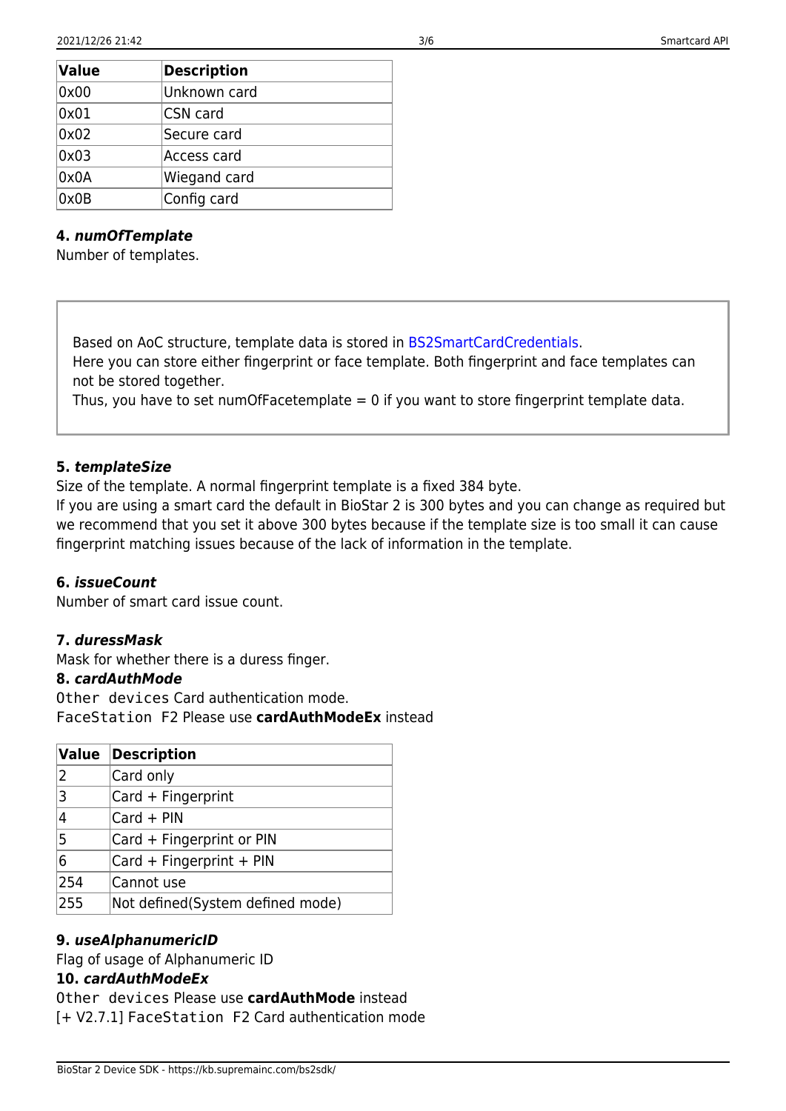| <b>Value</b> | <b>Description</b> |  |
|--------------|--------------------|--|
| 0x00         | Unknown card       |  |
| 0x01         | CSN card           |  |
| 0x02         | Secure card        |  |
| 0x03         | Access card        |  |
| 0x0A         | Wiegand card       |  |
| 0x0B         | Config card        |  |

#### **4.** *numOfTemplate*

Number of templates.

Based on AoC structure, template data is stored in [BS2SmartCardCredentials](#page-4-1). Here you can store either fingerprint or face template. Both fingerprint and face templates can not be stored together.

Thus, you have to set numOfFacetemplate  $= 0$  if you want to store fingerprint template data.

#### **5.** *templateSize*

Size of the template. A normal fingerprint template is a fixed 384 byte.

If you are using a smart card the default in BioStar 2 is 300 bytes and you can change as required but we recommend that you set it above 300 bytes because if the template size is too small it can cause fingerprint matching issues because of the lack of information in the template.

#### **6.** *issueCount*

Number of smart card issue count.

## **7.** *duressMask*

Mask for whether there is a duress finger.

#### **8.** *cardAuthMode*

Other devices Card authentication mode. FaceStation F2 Please use **cardAuthModeEx** instead

| Value          | Description                      |
|----------------|----------------------------------|
| 2              | Card only                        |
| $\overline{3}$ | Card + Fingerprint               |
| 4              | $Card + PIN$                     |
| 5              | Card + Fingerprint or PIN        |
| 6              | Card + Fingerprint + PIN         |
| 254            | Cannot use                       |
| 255            | Not defined(System defined mode) |

## **9.** *useAlphanumericID*

Flag of usage of Alphanumeric ID

## **10.** *cardAuthModeEx*

Other devices Please use **cardAuthMode** instead [+ V2.7.1] FaceStation F2 Card authentication mode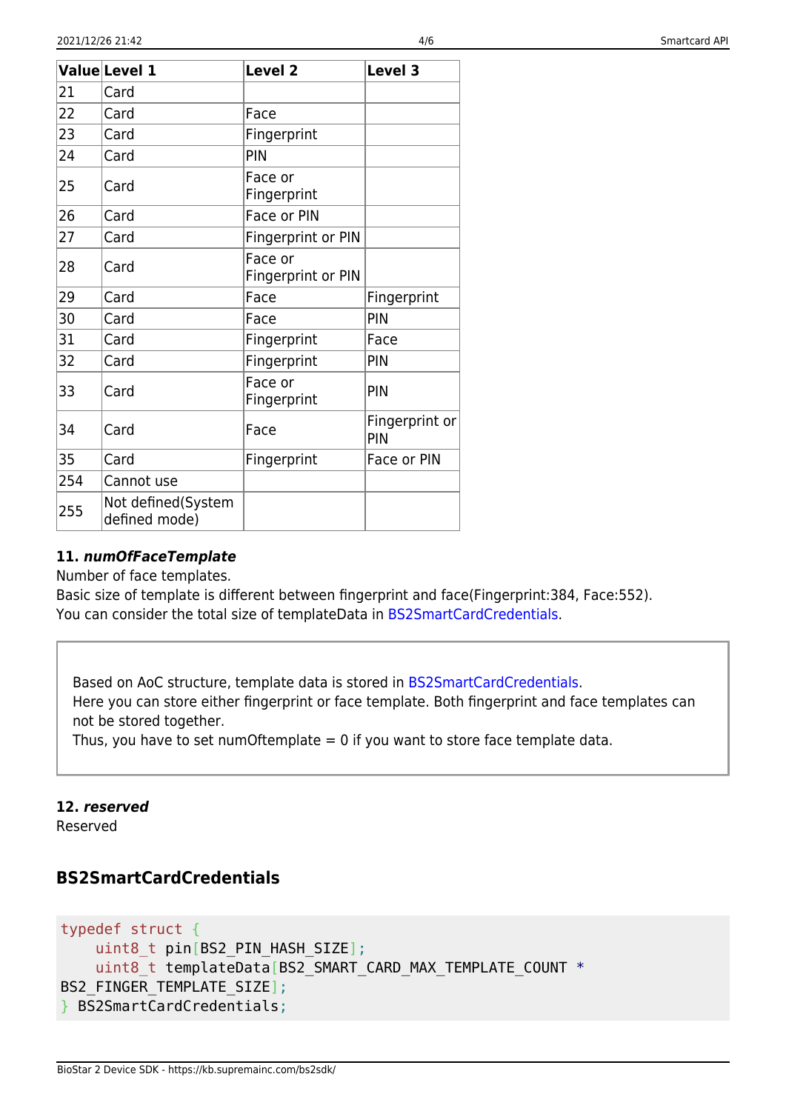|     | ValueLevel 1                        | Level <sub>2</sub>            | Level 3               |
|-----|-------------------------------------|-------------------------------|-----------------------|
| 21  | Card                                |                               |                       |
| 22  | Card                                | Face                          |                       |
| 23  | Card                                | Fingerprint                   |                       |
| 24  | Card                                | PIN                           |                       |
| 25  | Card                                | Face or<br>Fingerprint        |                       |
| 26  | Card                                | Face or PIN                   |                       |
| 27  | Card                                | Fingerprint or PIN            |                       |
| 28  | Card                                | Face or<br>Fingerprint or PIN |                       |
| 29  | Card                                | Face                          | Fingerprint           |
| 30  | Card                                | Face                          | PIN                   |
| 31  | Card                                | Fingerprint                   | Face                  |
| 32  | Card                                | Fingerprint                   | PIN                   |
| 33  | Card                                | Face or<br>Fingerprint        | PIN                   |
| 34  | Card                                | Face                          | Fingerprint or<br>PIN |
| 35  | Card                                | Fingerprint                   | Face or PIN           |
| 254 | Cannot use                          |                               |                       |
| 255 | Not defined(System<br>defined mode) |                               |                       |

## **11.** *numOfFaceTemplate*

Number of face templates.

Basic size of template is different between fingerprint and face(Fingerprint:384, Face:552). You can consider the total size of templateData in [BS2SmartCardCredentials.](#page-4-1)

Based on AoC structure, template data is stored in [BS2SmartCardCredentials](#page-4-1). Here you can store either fingerprint or face template. Both fingerprint and face templates can not be stored together.

Thus, you have to set numOftemplate  $= 0$  if you want to store face template data.

## **12.** *reserved*

Reserved

## <span id="page-4-1"></span><span id="page-4-0"></span>**BS2SmartCardCredentials**

```
typedef struct {
    uint8 t pin[BS2 PIN HASH SIZE];
    uint8 t templateData[BS2_SMART_CARD_MAX_TEMPLATE_COUNT *
BS2_FINGER_TEMPLATE_SIZE];
} BS2SmartCardCredentials;
```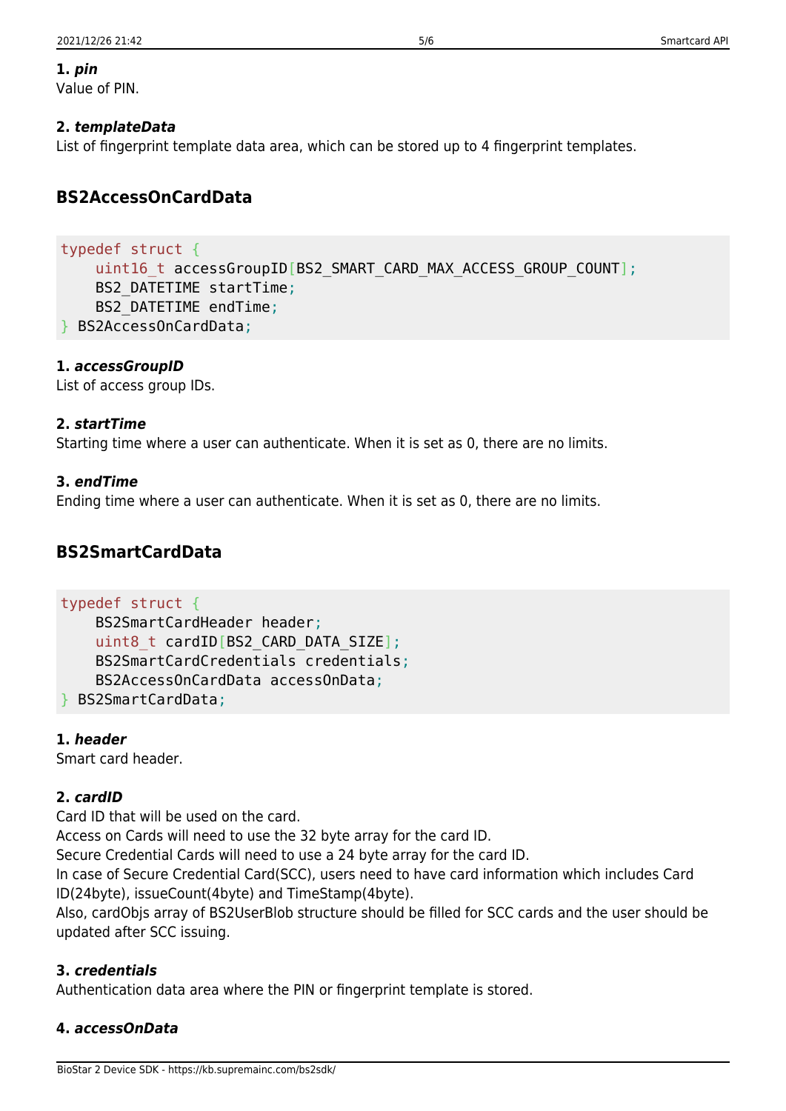#### **1.** *pin*

Value of PIN.

## **2.** *templateData*

List of fingerprint template data area, which can be stored up to 4 fingerprint templates.

## <span id="page-5-0"></span>**BS2AccessOnCardData**

#### typedef struct { uint16 t accessGroupID[BS2\_SMART\_CARD\_MAX\_ACCESS\_GROUP\_COUNT]; BS2\_DATETIME startTime; BS2\_DATETIME endTime; } BS2AccessOnCardData;

## **1.** *accessGroupID*

List of access group IDs.

## **2.** *startTime*

Starting time where a user can authenticate. When it is set as 0, there are no limits.

## **3.** *endTime*

Ending time where a user can authenticate. When it is set as 0, there are no limits.

## <span id="page-5-1"></span>**BS2SmartCardData**

#### typedef struct {

```
 BS2SmartCardHeader header;
uint8 t cardID[BS2 CARD DATA SIZE];
 BS2SmartCardCredentials credentials;
 BS2AccessOnCardData accessOnData;
```
} BS2SmartCardData;

## **1.** *header*

Smart card header.

## **2.** *cardID*

Card ID that will be used on the card.

Access on Cards will need to use the 32 byte array for the card ID.

Secure Credential Cards will need to use a 24 byte array for the card ID.

In case of Secure Credential Card(SCC), users need to have card information which includes Card ID(24byte), issueCount(4byte) and TimeStamp(4byte).

Also, cardObjs array of BS2UserBlob structure should be filled for SCC cards and the user should be updated after SCC issuing.

## **3.** *credentials*

Authentication data area where the PIN or fingerprint template is stored.

## **4.** *accessOnData*